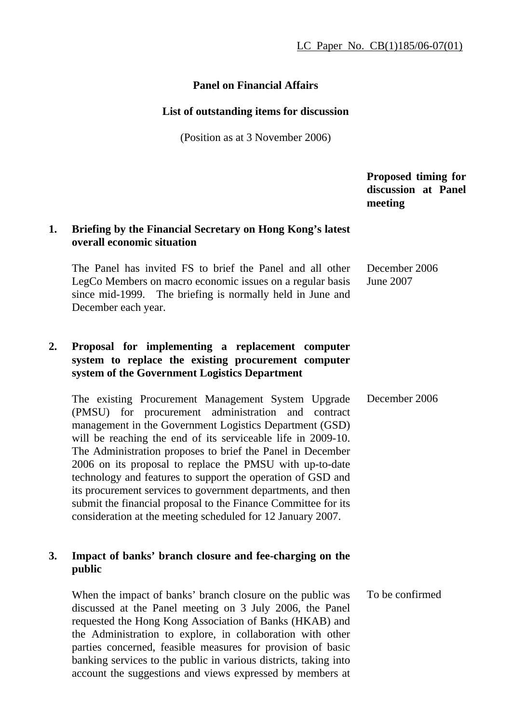### **Panel on Financial Affairs**

#### **List of outstanding items for discussion**

(Position as at 3 November 2006)

 **Proposed timing for discussion at Panel meeting 1. Briefing by the Financial Secretary on Hong Kong's latest overall economic situation**  The Panel has invited FS to brief the Panel and all other LegCo Members on macro economic issues on a regular basis since mid-1999. The briefing is normally held in June and December each year. December 2006 June 2007 **2. Proposal for implementing a replacement computer system to replace the existing procurement computer system of the Government Logistics Department** The existing Procurement Management System Upgrade (PMSU) for procurement administration and contract management in the Government Logistics Department (GSD) will be reaching the end of its serviceable life in 2009-10. The Administration proposes to brief the Panel in December 2006 on its proposal to replace the PMSU with up-to-date technology and features to support the operation of GSD and its procurement services to government departments, and then submit the financial proposal to the Finance Committee for its consideration at the meeting scheduled for 12 January 2007. December 2006 **3. Impact of banks' branch closure and fee-charging on the public**  When the impact of banks' branch closure on the public was To be confirmed

discussed at the Panel meeting on 3 July 2006, the Panel requested the Hong Kong Association of Banks (HKAB) and the Administration to explore, in collaboration with other parties concerned, feasible measures for provision of basic banking services to the public in various districts, taking into account the suggestions and views expressed by members at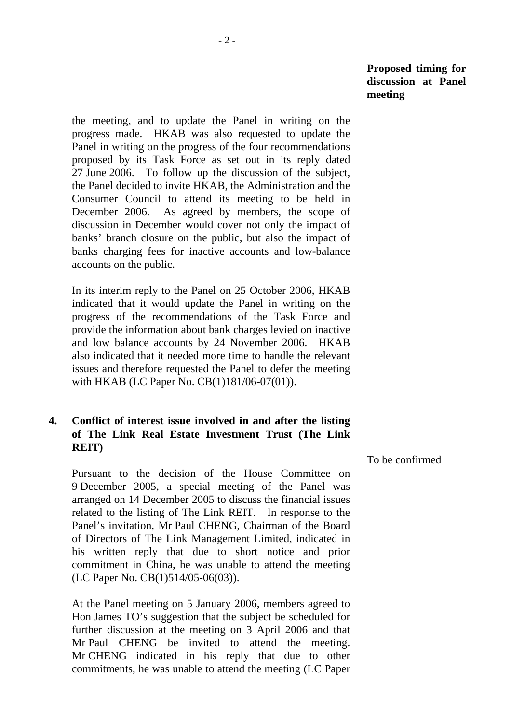the meeting, and to update the Panel in writing on the progress made. HKAB was also requested to update the Panel in writing on the progress of the four recommendations proposed by its Task Force as set out in its reply dated 27 June 2006. To follow up the discussion of the subject, the Panel decided to invite HKAB, the Administration and the Consumer Council to attend its meeting to be held in December 2006. As agreed by members, the scope of discussion in December would cover not only the impact of banks' branch closure on the public, but also the impact of banks charging fees for inactive accounts and low-balance accounts on the public.

 In its interim reply to the Panel on 25 October 2006, HKAB indicated that it would update the Panel in writing on the progress of the recommendations of the Task Force and provide the information about bank charges levied on inactive and low balance accounts by 24 November 2006. HKAB also indicated that it needed more time to handle the relevant issues and therefore requested the Panel to defer the meeting with HKAB (LC Paper No. CB(1)181/06-07(01)).

# **4. Conflict of interest issue involved in and after the listing of The Link Real Estate Investment Trust (The Link REIT)**

 Pursuant to the decision of the House Committee on 9 December 2005, a special meeting of the Panel was arranged on 14 December 2005 to discuss the financial issues related to the listing of The Link REIT. In response to the Panel's invitation, Mr Paul CHENG, Chairman of the Board of Directors of The Link Management Limited, indicated in his written reply that due to short notice and prior commitment in China, he was unable to attend the meeting (LC Paper No. CB(1)514/05-06(03)).

 At the Panel meeting on 5 January 2006, members agreed to Hon James TO's suggestion that the subject be scheduled for further discussion at the meeting on 3 April 2006 and that Mr Paul CHENG be invited to attend the meeting. Mr CHENG indicated in his reply that due to other commitments, he was unable to attend the meeting (LC Paper To be confirmed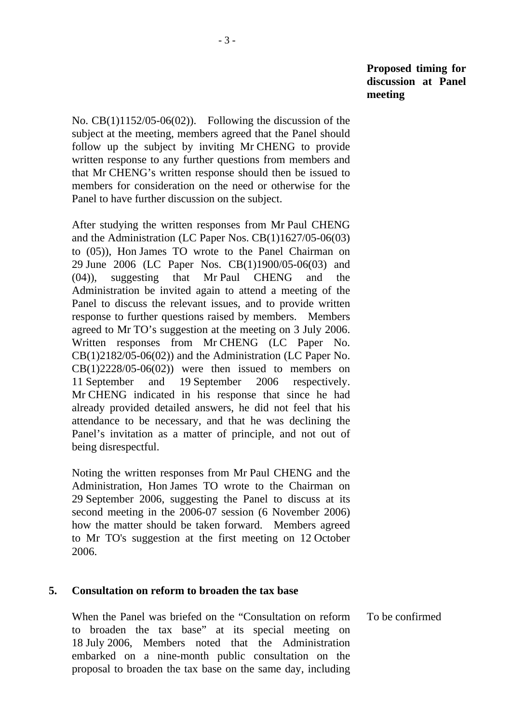No. CB(1)1152/05-06(02)). Following the discussion of the subject at the meeting, members agreed that the Panel should follow up the subject by inviting Mr CHENG to provide written response to any further questions from members and that Mr CHENG's written response should then be issued to members for consideration on the need or otherwise for the Panel to have further discussion on the subject.

 After studying the written responses from Mr Paul CHENG and the Administration (LC Paper Nos. CB(1)1627/05-06(03) to (05)), Hon James TO wrote to the Panel Chairman on 29 June 2006 (LC Paper Nos. CB(1)1900/05-06(03) and (04)), suggesting that Mr Paul CHENG and the Administration be invited again to attend a meeting of the Panel to discuss the relevant issues, and to provide written response to further questions raised by members. Members agreed to Mr TO's suggestion at the meeting on 3 July 2006. Written responses from Mr CHENG (LC Paper No. CB(1)2182/05-06(02)) and the Administration (LC Paper No.  $CB(1)2228/05-06(02))$  were then issued to members on 11 September and 19 September 2006 respectively. Mr CHENG indicated in his response that since he had already provided detailed answers, he did not feel that his attendance to be necessary, and that he was declining the Panel's invitation as a matter of principle, and not out of being disrespectful.

 Noting the written responses from Mr Paul CHENG and the Administration, Hon James TO wrote to the Chairman on 29 September 2006, suggesting the Panel to discuss at its second meeting in the 2006-07 session (6 November 2006) how the matter should be taken forward. Members agreed to Mr TO's suggestion at the first meeting on 12 October 2006.

### **5. Consultation on reform to broaden the tax base**

 When the Panel was briefed on the "Consultation on reform to broaden the tax base" at its special meeting on 18 July 2006, Members noted that the Administration embarked on a nine-month public consultation on the proposal to broaden the tax base on the same day, including To be confirmed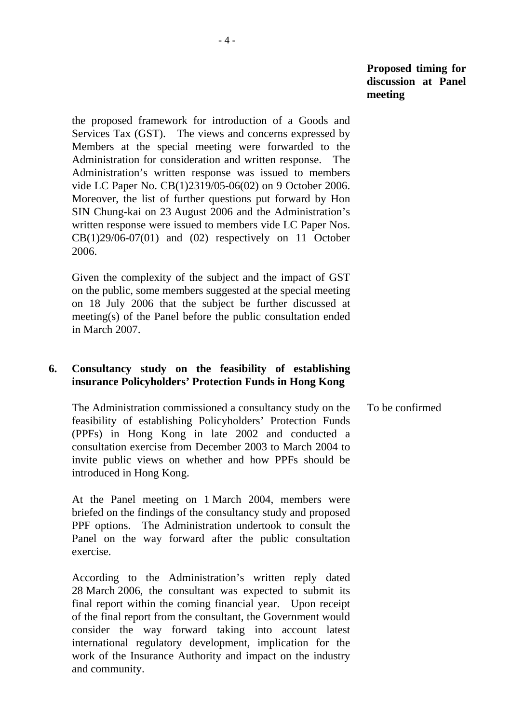the proposed framework for introduction of a Goods and Services Tax (GST). The views and concerns expressed by Members at the special meeting were forwarded to the Administration for consideration and written response. The Administration's written response was issued to members vide LC Paper No. CB(1)2319/05-06(02) on 9 October 2006. Moreover, the list of further questions put forward by Hon SIN Chung-kai on 23 August 2006 and the Administration's written response were issued to members vide LC Paper Nos.  $CB(1)29/06-07(01)$  and  $(02)$  respectively on 11 October 2006.

 Given the complexity of the subject and the impact of GST on the public, some members suggested at the special meeting on 18 July 2006 that the subject be further discussed at meeting(s) of the Panel before the public consultation ended in March 2007.

## **6. Consultancy study on the feasibility of establishing insurance Policyholders' Protection Funds in Hong Kong**

 The Administration commissioned a consultancy study on the feasibility of establishing Policyholders' Protection Funds (PPFs) in Hong Kong in late 2002 and conducted a consultation exercise from December 2003 to March 2004 to invite public views on whether and how PPFs should be introduced in Hong Kong. To be confirmed

 At the Panel meeting on 1 March 2004, members were briefed on the findings of the consultancy study and proposed PPF options. The Administration undertook to consult the Panel on the way forward after the public consultation exercise.

 According to the Administration's written reply dated 28 March 2006, the consultant was expected to submit its final report within the coming financial year. Upon receipt of the final report from the consultant, the Government would consider the way forward taking into account latest international regulatory development, implication for the work of the Insurance Authority and impact on the industry and community.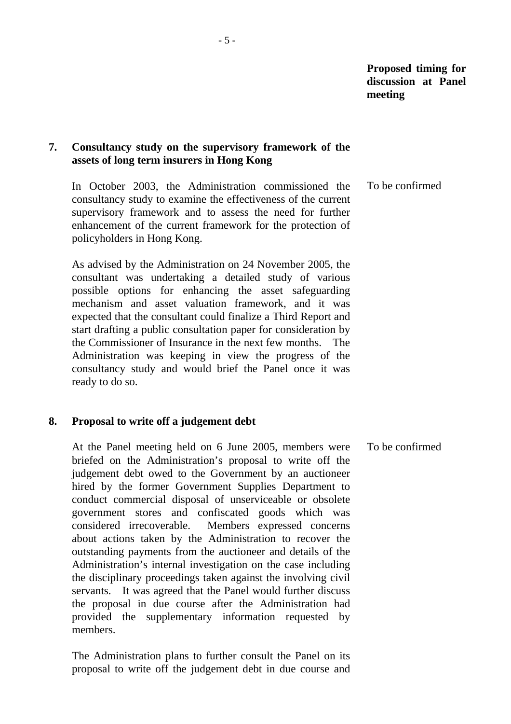# **7. Consultancy study on the supervisory framework of the assets of long term insurers in Hong Kong**

 In October 2003, the Administration commissioned the consultancy study to examine the effectiveness of the current supervisory framework and to assess the need for further enhancement of the current framework for the protection of policyholders in Hong Kong. To be confirmed

 As advised by the Administration on 24 November 2005, the consultant was undertaking a detailed study of various possible options for enhancing the asset safeguarding mechanism and asset valuation framework, and it was expected that the consultant could finalize a Third Report and start drafting a public consultation paper for consideration by the Commissioner of Insurance in the next few months. The Administration was keeping in view the progress of the consultancy study and would brief the Panel once it was ready to do so.

#### **8. Proposal to write off a judgement debt**

 At the Panel meeting held on 6 June 2005, members were briefed on the Administration's proposal to write off the judgement debt owed to the Government by an auctioneer hired by the former Government Supplies Department to conduct commercial disposal of unserviceable or obsolete government stores and confiscated goods which was considered irrecoverable. Members expressed concerns about actions taken by the Administration to recover the outstanding payments from the auctioneer and details of the Administration's internal investigation on the case including the disciplinary proceedings taken against the involving civil servants. It was agreed that the Panel would further discuss the proposal in due course after the Administration had provided the supplementary information requested by members. To be confirmed

 The Administration plans to further consult the Panel on its proposal to write off the judgement debt in due course and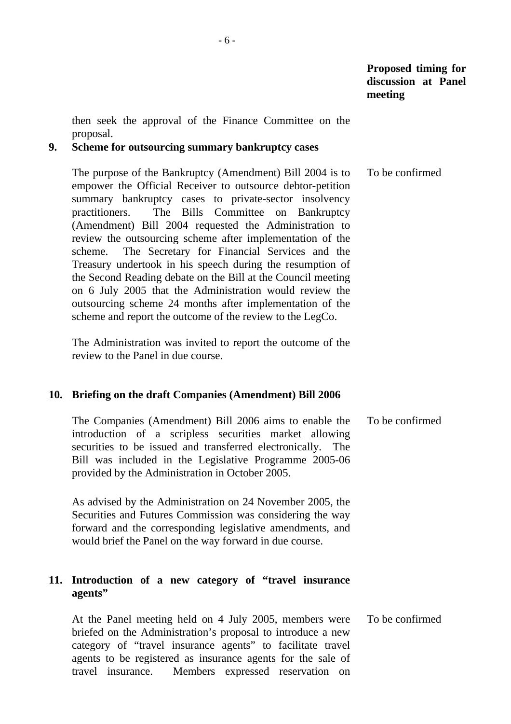then seek the approval of the Finance Committee on the proposal.

### **9. Scheme for outsourcing summary bankruptcy cases**

 The purpose of the Bankruptcy (Amendment) Bill 2004 is to empower the Official Receiver to outsource debtor-petition summary bankruptcy cases to private-sector insolvency practitioners. The Bills Committee on Bankruptcy (Amendment) Bill 2004 requested the Administration to review the outsourcing scheme after implementation of the scheme. The Secretary for Financial Services and the Treasury undertook in his speech during the resumption of the Second Reading debate on the Bill at the Council meeting on 6 July 2005 that the Administration would review the outsourcing scheme 24 months after implementation of the scheme and report the outcome of the review to the LegCo. To be confirmed

 The Administration was invited to report the outcome of the review to the Panel in due course.

#### **10. Briefing on the draft Companies (Amendment) Bill 2006**

 The Companies (Amendment) Bill 2006 aims to enable the introduction of a scripless securities market allowing securities to be issued and transferred electronically. The Bill was included in the Legislative Programme 2005-06 provided by the Administration in October 2005. To be confirmed

 As advised by the Administration on 24 November 2005, the Securities and Futures Commission was considering the way forward and the corresponding legislative amendments, and would brief the Panel on the way forward in due course.

## **11. Introduction of a new category of "travel insurance agents"**

 At the Panel meeting held on 4 July 2005, members were briefed on the Administration's proposal to introduce a new category of "travel insurance agents" to facilitate travel agents to be registered as insurance agents for the sale of travel insurance. Members expressed reservation on To be confirmed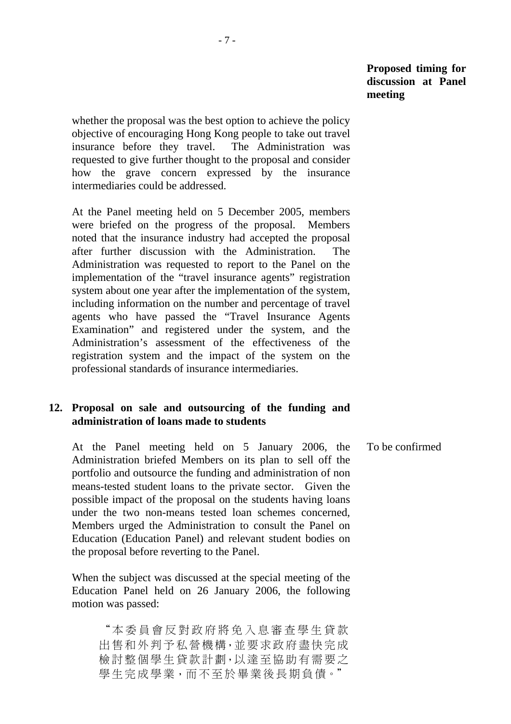whether the proposal was the best option to achieve the policy objective of encouraging Hong Kong people to take out travel insurance before they travel. The Administration was requested to give further thought to the proposal and consider how the grave concern expressed by the insurance intermediaries could be addressed.

 At the Panel meeting held on 5 December 2005, members were briefed on the progress of the proposal. Members noted that the insurance industry had accepted the proposal after further discussion with the Administration. The Administration was requested to report to the Panel on the implementation of the "travel insurance agents" registration system about one year after the implementation of the system, including information on the number and percentage of travel agents who have passed the "Travel Insurance Agents Examination" and registered under the system, and the Administration's assessment of the effectiveness of the registration system and the impact of the system on the professional standards of insurance intermediaries.

#### **12. Proposal on sale and outsourcing of the funding and administration of loans made to students**

 At the Panel meeting held on 5 January 2006, the Administration briefed Members on its plan to sell off the portfolio and outsource the funding and administration of non means-tested student loans to the private sector. Given the possible impact of the proposal on the students having loans under the two non-means tested loan schemes concerned, Members urged the Administration to consult the Panel on Education (Education Panel) and relevant student bodies on the proposal before reverting to the Panel. To be confirmed

 When the subject was discussed at the special meeting of the Education Panel held on 26 January 2006, the following motion was passed:

"本委員會反對政府將免入息審查學生貸款 出售和外判予私營機構,並要求政府盡快完成 檢討整個學生貸款計劃,以達至協助有需要之 學生完成學業,而不至於畢業後長期負債。"